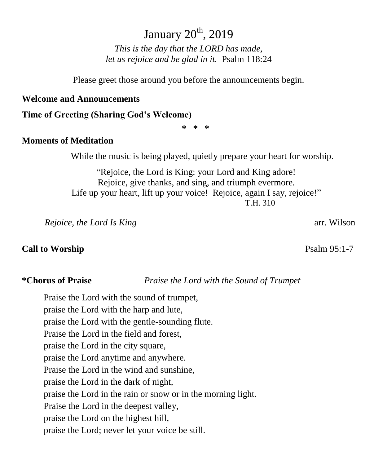# January  $20<sup>th</sup>$ , 2019

*This is the day that the LORD has made, let us rejoice and be glad in it.* Psalm 118:24

Please greet those around you before the announcements begin.

#### **Welcome and Announcements**

**Time of Greeting (Sharing God's Welcome)**

**\* \* \***

### **Moments of Meditation**

While the music is being played, quietly prepare your heart for worship.

"Rejoice, the Lord is King: your Lord and King adore! Rejoice, give thanks, and sing, and triumph evermore. Life up your heart, lift up your voice! Rejoice, again I say, rejoice!" T.H. 310

*Rejoice, the Lord Is King* **arrival is a set of the** *Rejoice, the Lord Is King* **and** *arrival is a set of the set of the set of the set of the set of the set of the set of the set of the set of the set of the set of the se* 

#### **Call to Worship** Psalm 95:1-7

**\*Chorus of Praise** *Praise the Lord with the Sound of Trumpet* 

Praise the Lord with the sound of trumpet, praise the Lord with the harp and lute, praise the Lord with the gentle-sounding flute. Praise the Lord in the field and forest, praise the Lord in the city square, praise the Lord anytime and anywhere. Praise the Lord in the wind and sunshine, praise the Lord in the dark of night, praise the Lord in the rain or snow or in the morning light. Praise the Lord in the deepest valley, praise the Lord on the highest hill, praise the Lord; never let your voice be still.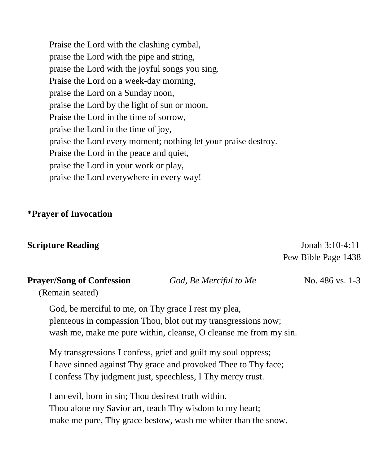Praise the Lord with the clashing cymbal, praise the Lord with the pipe and string, praise the Lord with the joyful songs you sing. Praise the Lord on a week-day morning, praise the Lord on a Sunday noon, praise the Lord by the light of sun or moon. Praise the Lord in the time of sorrow, praise the Lord in the time of joy, praise the Lord every moment; nothing let your praise destroy. Praise the Lord in the peace and quiet, praise the Lord in your work or play, praise the Lord everywhere in every way!

### **\*Prayer of Invocation**

#### **Scripture Reading Scripture Reading 10-4:11**

Pew Bible Page 1438

#### **Prayer/Song of Confession** *God, Be Merciful to Me* No. 486 vs. 1-3

(Remain seated)

God, be merciful to me, on Thy grace I rest my plea, plenteous in compassion Thou, blot out my transgressions now; wash me, make me pure within, cleanse, O cleanse me from my sin.

My transgressions I confess, grief and guilt my soul oppress; I have sinned against Thy grace and provoked Thee to Thy face; I confess Thy judgment just, speechless, I Thy mercy trust.

I am evil, born in sin; Thou desirest truth within. Thou alone my Savior art, teach Thy wisdom to my heart; make me pure, Thy grace bestow, wash me whiter than the snow.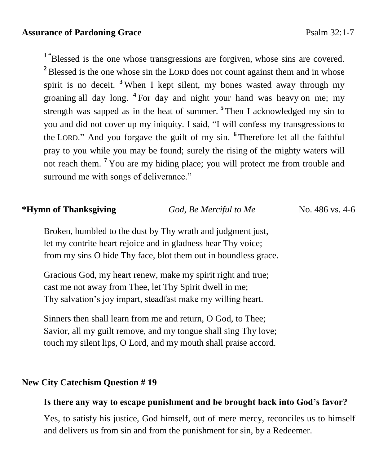#### **Assurance of Pardoning Grace** Psalm 32:1-7

<sup>1</sup> <sup>"</sup>Blessed is the one whose transgressions are forgiven, whose sins are covered. <sup>2</sup> Blessed is the one whose sin the LORD does not count against them and in whose spirit is no deceit. **<sup>3</sup>** When I kept silent, my bones wasted away through my groaning all day long. **<sup>4</sup>** For day and night your hand was heavy on me; my strength was sapped as in the heat of summer. **<sup>5</sup>** Then I acknowledged my sin to you and did not cover up my iniquity. I said, "I will confess my transgressions to the LORD." And you forgave the guilt of my sin. **<sup>6</sup>** Therefore let all the faithful pray to you while you may be found; surely the rising of the mighty waters will not reach them. **<sup>7</sup>** You are my hiding place; you will protect me from trouble and surround me with songs of deliverance."

## **\*Hymn of Thanksgiving** *God, Be Merciful to Me*No. 486 vs. 4-6

Broken, humbled to the dust by Thy wrath and judgment just, let my contrite heart rejoice and in gladness hear Thy voice; from my sins O hide Thy face, blot them out in boundless grace.

Gracious God, my heart renew, make my spirit right and true; cast me not away from Thee, let Thy Spirit dwell in me; Thy salvation's joy impart, steadfast make my willing heart.

Sinners then shall learn from me and return, O God, to Thee; Savior, all my guilt remove, and my tongue shall sing Thy love; touch my silent lips, O Lord, and my mouth shall praise accord.

## **New City Catechism Question # 19**

## **Is there any way to escape punishment and be brought back into God's favor?**

Yes, to satisfy his justice, God himself, out of mere mercy, reconciles us to himself and delivers us from sin and from the punishment for sin, by a Redeemer.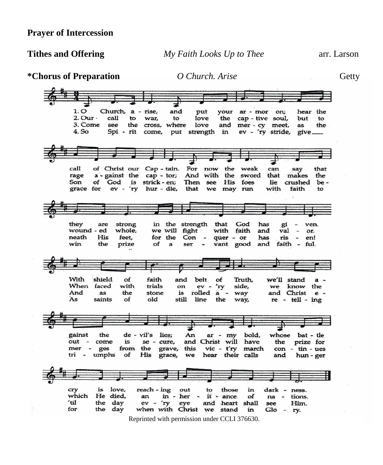**Tithes and Offering** *My Faith Looks Up to Thee* arr. Larson

**\*Chorus of Preparation** *O Church. Arise* Getty  $1.0$ Church, a - rise, and put your ar - mor on; hear the call  $2.$  Our  $\cdot$ to war, to love the cap-tive soul, but  $to$ 3. Come see the cross, where love and mer-cy meet, as the  $4.5<sub>o</sub>$ Spi - rit come, put strength in ev - 'ry stride, give\_\_\_ call of Christ our Cap - tain. For now the weak can say that rage a - gainst the cap - tor; And with the sword that makes the Son of God is strick-en; Then see His foes lie crushed  $be$ grace for ev - 'ry hur - dle, that we may run with faith to strong in the strength that God they are has gi  $\blacksquare$ ven. wound - ed whole, we will fight with faith and val or. neath His feet. for the Con  $quer - or$ has ris en! win the vant good and prize of  $\mathbf{a}$ ser faith - ful. With shield of faith and belt of Truth, we'll stand  $a -$ When faced with trials  $ev - \sqrt{xy}$ side, on we know the And as the stone is rolled a - way and Christ e -As saints of  $old$ still line the way,  $re - tell - ing$ gainst the de - vil's lies; An bold, whose bat - tle  $ar - my$ out - come is se - cure, and Christ will have the prize for mer ges from the grave, this vic - t'ry march con - tin - ues tri - umphs  $\sigma$ <sub> $\bf{f}$ </sub> His grace, we hear their calls and  $hum - ger$ is love, reach-ing out to those in dark - ness. cry which He died,  $an$  in - her - it - ance of  $na$ tions. 'til the day  $ev - 'ry - eye$ and heart shall see Him. when with Christ we stand for the day in  $Glo - ry.$ 

Reprinted with permission under CCLI 376630.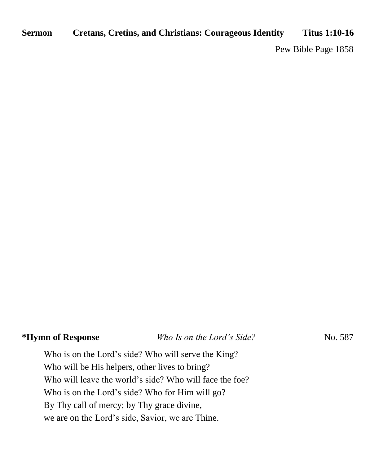### **Sermon Cretans, Cretins, and Christians: Courageous Identity Titus 1:10-16**

Pew Bible Page 1858

# **\*Hymn of Response** *Who Is on the Lord's Side?* No. 587

Who is on the Lord's side? Who will serve the King? Who will be His helpers, other lives to bring? Who will leave the world's side? Who will face the foe? Who is on the Lord's side? Who for Him will go? By Thy call of mercy; by Thy grace divine, we are on the Lord's side, Savior, we are Thine.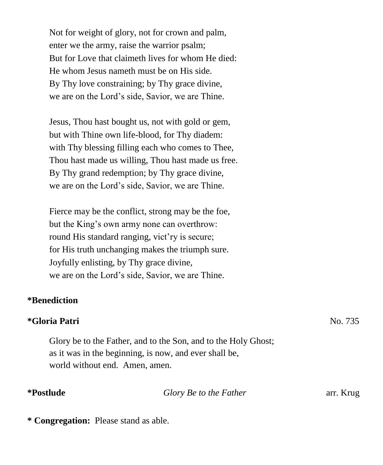Not for weight of glory, not for crown and palm, enter we the army, raise the warrior psalm; But for Love that claimeth lives for whom He died: He whom Jesus nameth must be on His side. By Thy love constraining; by Thy grace divine, we are on the Lord's side, Savior, we are Thine.

Jesus, Thou hast bought us, not with gold or gem, but with Thine own life-blood, for Thy diadem: with Thy blessing filling each who comes to Thee, Thou hast made us willing, Thou hast made us free. By Thy grand redemption; by Thy grace divine, we are on the Lord's side, Savior, we are Thine.

Fierce may be the conflict, strong may be the foe, but the King's own army none can overthrow: round His standard ranging, vict'ry is secure; for His truth unchanging makes the triumph sure. Joyfully enlisting, by Thy grace divine, we are on the Lord's side, Savior, we are Thine.

### **\*Benediction**

## **\*Gloria Patri** No. 735

Glory be to the Father, and to the Son, and to the Holy Ghost; as it was in the beginning, is now, and ever shall be, world without end. Amen, amen.

**\*Postlude** *Glory Be to the Father* arr. Krug

**\* Congregation:** Please stand as able.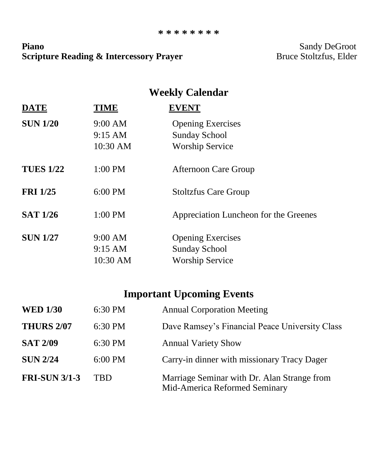**\* \* \* \* \* \* \* \***

# Piano Sandy DeGroot<br> **Sandy DeGroot**<br> **Piano Sandy DeGroot**<br> **Piano Sandy DeGroot**<br> **Piano Sandy DeGroot Scripture Reading & Intercessory Prayer**

# **Weekly Calendar**

| <b>DATE</b>      | <b>TIME</b> | <b>EVENT</b>                          |  |
|------------------|-------------|---------------------------------------|--|
| <b>SUN 1/20</b>  | 9:00 AM     | <b>Opening Exercises</b>              |  |
|                  | 9:15 AM     | <b>Sunday School</b>                  |  |
|                  | 10:30 AM    | <b>Worship Service</b>                |  |
| <b>TUES 1/22</b> | 1:00 PM     | <b>Afternoon Care Group</b>           |  |
| <b>FRI</b> 1/25  | $6:00$ PM   | <b>Stoltzfus Care Group</b>           |  |
| <b>SAT 1/26</b>  | 1:00 PM     | Appreciation Luncheon for the Greenes |  |
| <b>SUN 1/27</b>  | 9:00 AM     | <b>Opening Exercises</b>              |  |
|                  | 9:15 AM     | <b>Sunday School</b>                  |  |
|                  | 10:30 AM    | <b>Worship Service</b>                |  |

# **Important Upcoming Events**

| <b>WED 1/30</b>      | 6:30 PM    | <b>Annual Corporation Meeting</b>                                            |
|----------------------|------------|------------------------------------------------------------------------------|
| <b>THURS 2/07</b>    | 6:30 PM    | Dave Ramsey's Financial Peace University Class                               |
| <b>SAT 2/09</b>      | 6:30 PM    | <b>Annual Variety Show</b>                                                   |
| <b>SUN 2/24</b>      | 6:00 PM    | Carry-in dinner with missionary Tracy Dager                                  |
| <b>FRI-SUN 3/1-3</b> | <b>TBD</b> | Marriage Seminar with Dr. Alan Strange from<br>Mid-America Reformed Seminary |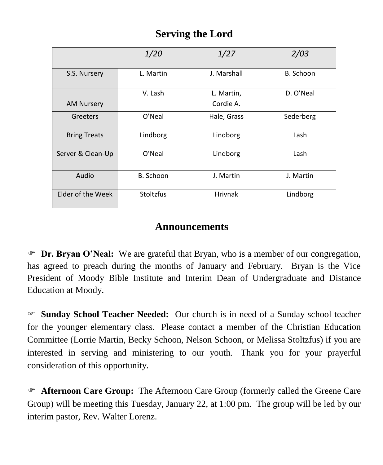# **Serving the Lord**

|                     | 1/20      | 1/27                    | 2/03      |
|---------------------|-----------|-------------------------|-----------|
| S.S. Nursery        | L. Martin | J. Marshall             | B. Schoon |
| <b>AM Nursery</b>   | V. Lash   | L. Martin,<br>Cordie A. | D. O'Neal |
| Greeters            | O'Neal    | Hale, Grass             | Sederberg |
| <b>Bring Treats</b> | Lindborg  | Lindborg                | Lash      |
| Server & Clean-Up   | O'Neal    | Lindborg                | Lash      |
| Audio               | B. Schoon | J. Martin               | J. Martin |
| Elder of the Week   | Stoltzfus | <b>Hrivnak</b>          | Lindborg  |

# **Announcements**

 **Dr. Bryan O'Neal:** We are grateful that Bryan, who is a member of our congregation, has agreed to preach during the months of January and February. Bryan is the Vice President of Moody Bible Institute and Interim Dean of Undergraduate and Distance Education at Moody.

 **Sunday School Teacher Needed:** Our church is in need of a Sunday school teacher for the younger elementary class. Please contact a member of the Christian Education Committee (Lorrie Martin, Becky Schoon, Nelson Schoon, or Melissa Stoltzfus) if you are interested in serving and ministering to our youth. Thank you for your prayerful consideration of this opportunity.

 **Afternoon Care Group:** The Afternoon Care Group (formerly called the Greene Care Group) will be meeting this Tuesday, January 22, at 1:00 pm. The group will be led by our interim pastor, Rev. Walter Lorenz.